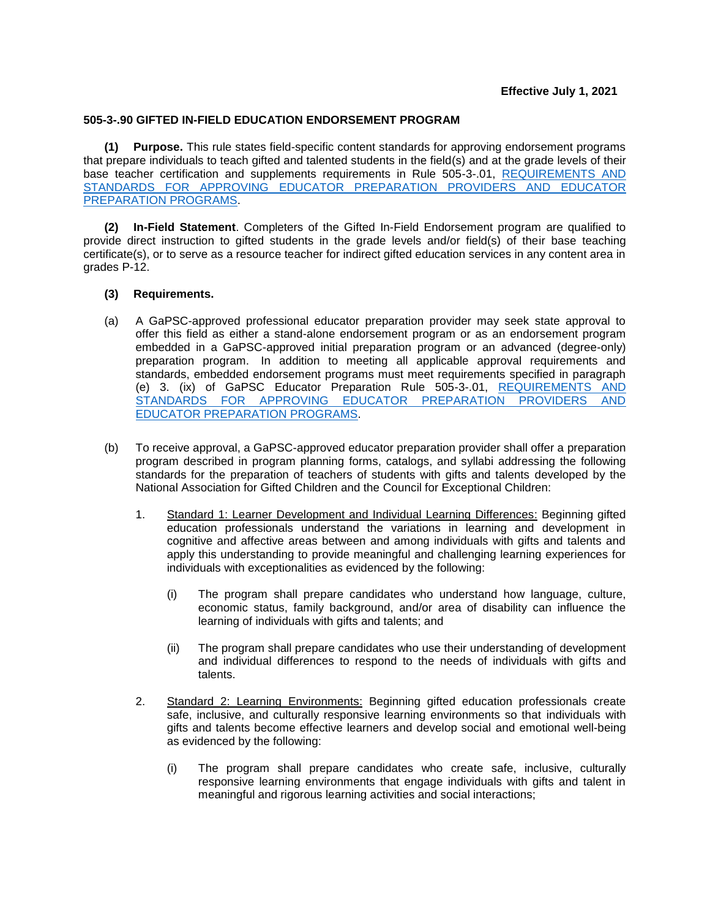## **505-3-.90 GIFTED IN-FIELD EDUCATION ENDORSEMENT PROGRAM**

**(1) Purpose.** This rule states field-specific content standards for approving endorsement programs that prepare individuals to teach gifted and talented students in the field(s) and at the grade levels of their base teacher certification and supplements requirements in Rule 505-3-.01, [REQUIREMENTS AND](https://www.gapsc.com/Rules/Current/EducatorPreparation/505-3-.01.pdf?dt=%3C%25#Eval()  [STANDARDS FOR APPROVING EDUCATOR PREPARATION PROVIDERS AND EDUCATOR](https://www.gapsc.com/Rules/Current/EducatorPreparation/505-3-.01.pdf?dt=%3C%25#Eval()  [PREPARATION PROGRAMS.](https://www.gapsc.com/Rules/Current/EducatorPreparation/505-3-.01.pdf?dt=%3C%25#Eval()

**(2) In-Field Statement**. Completers of the Gifted In-Field Endorsement program are qualified to provide direct instruction to gifted students in the grade levels and/or field(s) of their base teaching certificate(s), or to serve as a resource teacher for indirect gifted education services in any content area in grades P-12.

## **(3) Requirements.**

- (a) A GaPSC-approved professional educator preparation provider may seek state approval to offer this field as either a stand-alone endorsement program or as an endorsement program embedded in a GaPSC-approved initial preparation program or an advanced (degree-only) preparation program. In addition to meeting all applicable approval requirements and standards, embedded endorsement programs must meet requirements specified in paragraph (e) 3. (ix) of GaPSC Educator Preparation Rule 505-3-.01, [REQUIREMENTS AND](https://www.gapsc.com/Rules/Current/EducatorPreparation/505-3-.01.pdf?dt=%3C%25#Eval()  [STANDARDS FOR APPROVING EDUCATOR PREPARATION PROVIDERS AND](https://www.gapsc.com/Rules/Current/EducatorPreparation/505-3-.01.pdf?dt=%3C%25#Eval()  [EDUCATOR PREPARATION PROGRAMS.](https://www.gapsc.com/Rules/Current/EducatorPreparation/505-3-.01.pdf?dt=%3C%25#Eval()
- (b) To receive approval, a GaPSC-approved educator preparation provider shall offer a preparation program described in program planning forms, catalogs, and syllabi addressing the following standards for the preparation of teachers of students with gifts and talents developed by the National Association for Gifted Children and the Council for Exceptional Children:
	- 1. Standard 1: Learner Development and Individual Learning Differences: Beginning gifted education professionals understand the variations in learning and development in cognitive and affective areas between and among individuals with gifts and talents and apply this understanding to provide meaningful and challenging learning experiences for individuals with exceptionalities as evidenced by the following:
		- (i) The program shall prepare candidates who understand how language, culture, economic status, family background, and/or area of disability can influence the learning of individuals with gifts and talents; and
		- (ii) The program shall prepare candidates who use their understanding of development and individual differences to respond to the needs of individuals with gifts and talents.
	- 2. Standard 2: Learning Environments: Beginning gifted education professionals create safe, inclusive, and culturally responsive learning environments so that individuals with gifts and talents become effective learners and develop social and emotional well-being as evidenced by the following:
		- (i) The program shall prepare candidates who create safe, inclusive, culturally responsive learning environments that engage individuals with gifts and talent in meaningful and rigorous learning activities and social interactions;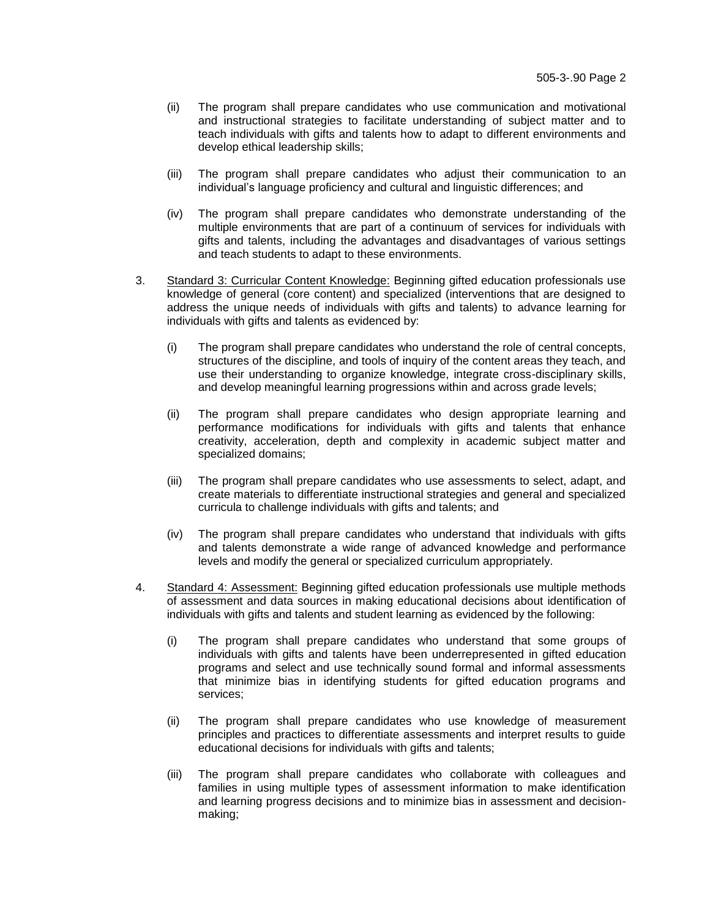- (ii) The program shall prepare candidates who use communication and motivational and instructional strategies to facilitate understanding of subject matter and to teach individuals with gifts and talents how to adapt to different environments and develop ethical leadership skills;
- (iii) The program shall prepare candidates who adjust their communication to an individual's language proficiency and cultural and linguistic differences; and
- (iv) The program shall prepare candidates who demonstrate understanding of the multiple environments that are part of a continuum of services for individuals with gifts and talents, including the advantages and disadvantages of various settings and teach students to adapt to these environments.
- 3. Standard 3: Curricular Content Knowledge: Beginning gifted education professionals use knowledge of general (core content) and specialized (interventions that are designed to address the unique needs of individuals with gifts and talents) to advance learning for individuals with gifts and talents as evidenced by:
	- (i) The program shall prepare candidates who understand the role of central concepts, structures of the discipline, and tools of inquiry of the content areas they teach, and use their understanding to organize knowledge, integrate cross-disciplinary skills, and develop meaningful learning progressions within and across grade levels;
	- (ii) The program shall prepare candidates who design appropriate learning and performance modifications for individuals with gifts and talents that enhance creativity, acceleration, depth and complexity in academic subject matter and specialized domains;
	- (iii) The program shall prepare candidates who use assessments to select, adapt, and create materials to differentiate instructional strategies and general and specialized curricula to challenge individuals with gifts and talents; and
	- (iv) The program shall prepare candidates who understand that individuals with gifts and talents demonstrate a wide range of advanced knowledge and performance levels and modify the general or specialized curriculum appropriately.
- 4. Standard 4: Assessment: Beginning gifted education professionals use multiple methods of assessment and data sources in making educational decisions about identification of individuals with gifts and talents and student learning as evidenced by the following:
	- (i) The program shall prepare candidates who understand that some groups of individuals with gifts and talents have been underrepresented in gifted education programs and select and use technically sound formal and informal assessments that minimize bias in identifying students for gifted education programs and services;
	- (ii) The program shall prepare candidates who use knowledge of measurement principles and practices to differentiate assessments and interpret results to guide educational decisions for individuals with gifts and talents;
	- (iii) The program shall prepare candidates who collaborate with colleagues and families in using multiple types of assessment information to make identification and learning progress decisions and to minimize bias in assessment and decisionmaking;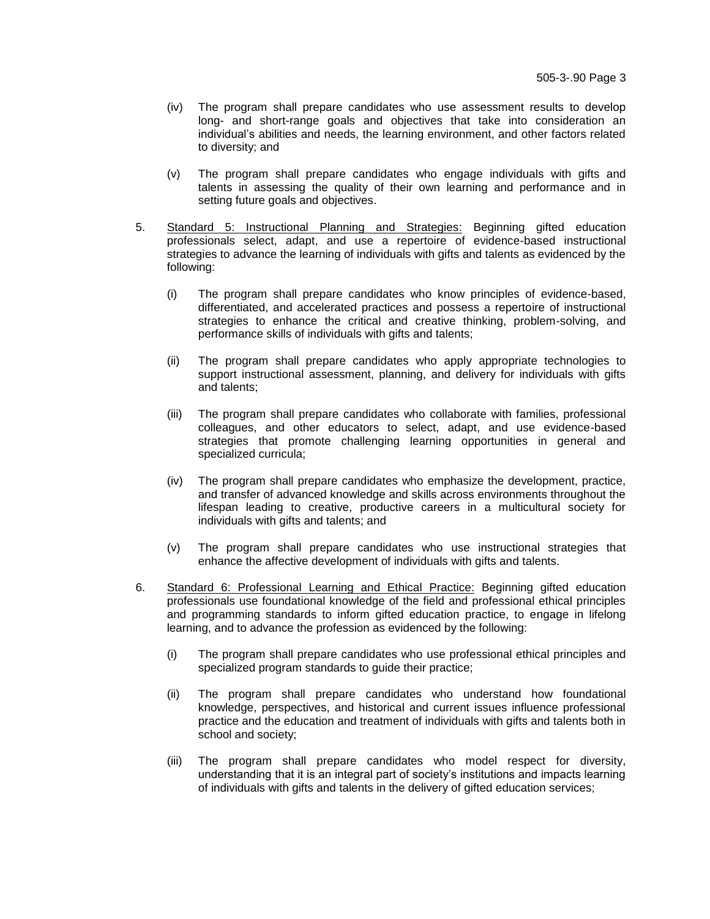- (iv) The program shall prepare candidates who use assessment results to develop long- and short-range goals and objectives that take into consideration an individual's abilities and needs, the learning environment, and other factors related to diversity; and
- (v) The program shall prepare candidates who engage individuals with gifts and talents in assessing the quality of their own learning and performance and in setting future goals and objectives.
- 5. Standard 5: Instructional Planning and Strategies: Beginning gifted education professionals select, adapt, and use a repertoire of evidence-based instructional strategies to advance the learning of individuals with gifts and talents as evidenced by the following:
	- (i) The program shall prepare candidates who know principles of evidence-based, differentiated, and accelerated practices and possess a repertoire of instructional strategies to enhance the critical and creative thinking, problem-solving, and performance skills of individuals with gifts and talents;
	- (ii) The program shall prepare candidates who apply appropriate technologies to support instructional assessment, planning, and delivery for individuals with gifts and talents;
	- (iii) The program shall prepare candidates who collaborate with families, professional colleagues, and other educators to select, adapt, and use evidence-based strategies that promote challenging learning opportunities in general and specialized curricula;
	- (iv) The program shall prepare candidates who emphasize the development, practice, and transfer of advanced knowledge and skills across environments throughout the lifespan leading to creative, productive careers in a multicultural society for individuals with gifts and talents; and
	- (v) The program shall prepare candidates who use instructional strategies that enhance the affective development of individuals with gifts and talents.
- 6. Standard 6: Professional Learning and Ethical Practice: Beginning gifted education professionals use foundational knowledge of the field and professional ethical principles and programming standards to inform gifted education practice, to engage in lifelong learning, and to advance the profession as evidenced by the following:
	- (i) The program shall prepare candidates who use professional ethical principles and specialized program standards to guide their practice;
	- (ii) The program shall prepare candidates who understand how foundational knowledge, perspectives, and historical and current issues influence professional practice and the education and treatment of individuals with gifts and talents both in school and society;
	- (iii) The program shall prepare candidates who model respect for diversity, understanding that it is an integral part of society's institutions and impacts learning of individuals with gifts and talents in the delivery of gifted education services;